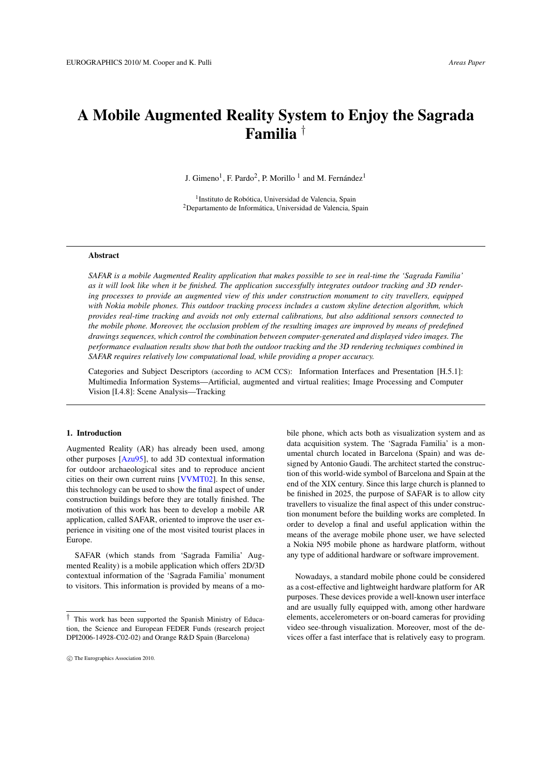# <span id="page-0-0"></span>A Mobile Augmented Reality System to Enjoy the Sagrada Familia †

J. Gimeno<sup>1</sup>, F. Pardo<sup>2</sup>, P. Morillo<sup>1</sup> and M. Fernández<sup>1</sup>

<sup>1</sup> Instituto de Robótica, Universidad de Valencia, Spain <sup>2</sup>Departamento de Informática, Universidad de Valencia, Spain

#### Abstract

*SAFAR is a mobile Augmented Reality application that makes possible to see in real-time the 'Sagrada Familia' as it will look like when it be finished. The application successfully integrates outdoor tracking and 3D rendering processes to provide an augmented view of this under construction monument to city travellers, equipped with Nokia mobile phones. This outdoor tracking process includes a custom skyline detection algorithm, which provides real-time tracking and avoids not only external calibrations, but also additional sensors connected to the mobile phone. Moreover, the occlusion problem of the resulting images are improved by means of predefined drawings sequences, which control the combination between computer-generated and displayed video images. The performance evaluation results show that both the outdoor tracking and the 3D rendering techniques combined in SAFAR requires relatively low computational load, while providing a proper accuracy.*

Categories and Subject Descriptors (according to ACM CCS): Information Interfaces and Presentation [H.5.1]: Multimedia Information Systems—Artificial, augmented and virtual realities; Image Processing and Computer Vision [I.4.8]: Scene Analysis—Tracking

## 1. Introduction

Augmented Reality (AR) has already been used, among other purposes [\[Azu95\]](#page-7-0), to add 3D contextual information for outdoor archaeological sites and to reproduce ancient cities on their own current ruins [\[VVMT02\]](#page-7-1). In this sense, this technology can be used to show the final aspect of under construction buildings before they are totally finished. The motivation of this work has been to develop a mobile AR application, called SAFAR, oriented to improve the user experience in visiting one of the most visited tourist places in Europe.

SAFAR (which stands from 'Sagrada Familia' Augmented Reality) is a mobile application which offers 2D/3D contextual information of the 'Sagrada Familia' monument to visitors. This information is provided by means of a mo-

bile phone, which acts both as visualization system and as data acquisition system. The 'Sagrada Familia' is a monumental church located in Barcelona (Spain) and was designed by Antonio Gaudi. The architect started the construction of this world-wide symbol of Barcelona and Spain at the end of the XIX century. Since this large church is planned to be finished in 2025, the purpose of SAFAR is to allow city travellers to visualize the final aspect of this under construction monument before the building works are completed. In order to develop a final and useful application within the means of the average mobile phone user, we have selected a Nokia N95 mobile phone as hardware platform, without any type of additional hardware or software improvement.

Nowadays, a standard mobile phone could be considered as a cost-effective and lightweight hardware platform for AR purposes. These devices provide a well-known user interface and are usually fully equipped with, among other hardware elements, accelerometers or on-board cameras for providing video see-through visualization. Moreover, most of the devices offer a fast interface that is relatively easy to program.

<sup>†</sup> This work has been supported the Spanish Ministry of Education, the Science and European FEDER Funds (research project DPI2006-14928-C02-02) and Orange R&D Spain (Barcelona)

c The Eurographics Association 2010.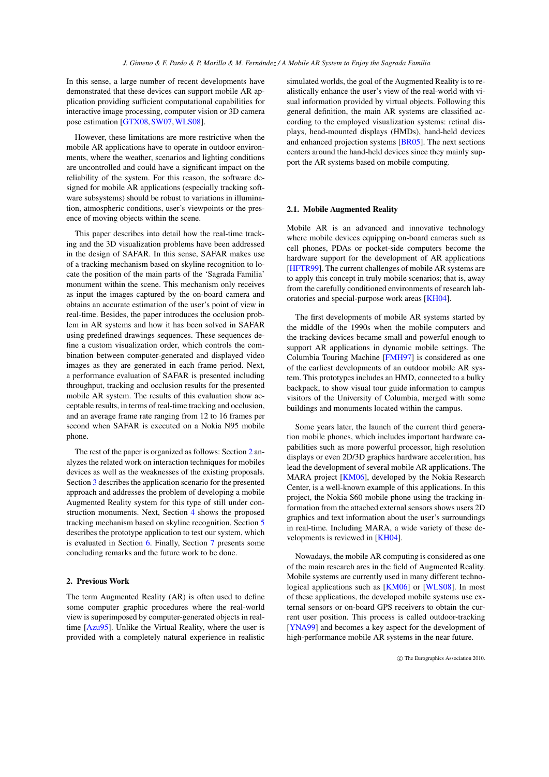<span id="page-1-1"></span>In this sense, a large number of recent developments have demonstrated that these devices can support mobile AR application providing sufficient computational capabilities for interactive image processing, computer vision or 3D camera pose estimation [\[GTX08,](#page-7-2) [SW07,](#page-7-3) [WLS08\]](#page-7-4).

However, these limitations are more restrictive when the mobile AR applications have to operate in outdoor environments, where the weather, scenarios and lighting conditions are uncontrolled and could have a significant impact on the reliability of the system. For this reason, the software designed for mobile AR applications (especially tracking software subsystems) should be robust to variations in illumination, atmospheric conditions, user's viewpoints or the presence of moving objects within the scene.

This paper describes into detail how the real-time tracking and the 3D visualization problems have been addressed in the design of SAFAR. In this sense, SAFAR makes use of a tracking mechanism based on skyline recognition to locate the position of the main parts of the 'Sagrada Familia' monument within the scene. This mechanism only receives as input the images captured by the on-board camera and obtains an accurate estimation of the user's point of view in real-time. Besides, the paper introduces the occlusion problem in AR systems and how it has been solved in SAFAR using predefined drawings sequences. These sequences define a custom visualization order, which controls the combination between computer-generated and displayed video images as they are generated in each frame period. Next, a performance evaluation of SAFAR is presented including throughput, tracking and occlusion results for the presented mobile AR system. The results of this evaluation show acceptable results, in terms of real-time tracking and occlusion, and an average frame rate ranging from 12 to 16 frames per second when SAFAR is executed on a Nokia N95 mobile phone.

The rest of the paper is organized as follows: Section [2](#page-1-0) analyzes the related work on interaction techniques for mobiles devices as well as the weaknesses of the existing proposals. Section [3](#page-2-0) describes the application scenario for the presented approach and addresses the problem of developing a mobile Augmented Reality system for this type of still under construction monuments. Next, Section [4](#page-3-0) shows the proposed tracking mechanism based on skyline recognition. Section [5](#page-4-0) describes the prototype application to test our system, which is evaluated in Section [6.](#page-5-0) Finally, Section [7](#page-6-0) presents some concluding remarks and the future work to be done.

## <span id="page-1-0"></span>2. Previous Work

The term Augmented Reality (AR) is often used to define some computer graphic procedures where the real-world view is superimposed by computer-generated objects in realtime [\[Azu95\]](#page-7-0). Unlike the Virtual Reality, where the user is provided with a completely natural experience in realistic

simulated worlds, the goal of the Augmented Reality is to realistically enhance the user's view of the real-world with visual information provided by virtual objects. Following this general definition, the main AR systems are classified according to the employed visualization systems: retinal displays, head-mounted displays (HMDs), hand-held devices and enhanced projection systems [\[BR05\]](#page-7-5). The next sections centers around the hand-held devices since they mainly support the AR systems based on mobile computing.

#### 2.1. Mobile Augmented Reality

Mobile AR is an advanced and innovative technology where mobile devices equipping on-board cameras such as cell phones, PDAs or pocket-side computers become the hardware support for the development of AR applications [\[HFTR99\]](#page-7-6). The current challenges of mobile AR systems are to apply this concept in truly mobile scenarios; that is, away from the carefully conditioned environments of research laboratories and special-purpose work areas [\[KH04\]](#page-7-7).

The first developments of mobile AR systems started by the middle of the 1990s when the mobile computers and the tracking devices became small and powerful enough to support AR applications in dynamic mobile settings. The Columbia Touring Machine [\[FMH97\]](#page-7-8) is considered as one of the earliest developments of an outdoor mobile AR system. This prototypes includes an HMD, connected to a bulky backpack, to show visual tour guide information to campus visitors of the University of Columbia, merged with some buildings and monuments located within the campus.

Some years later, the launch of the current third generation mobile phones, which includes important hardware capabilities such as more powerful processor, high resolution displays or even 2D/3D graphics hardware acceleration, has lead the development of several mobile AR applications. The MARA project [\[KM06\]](#page-7-9), developed by the Nokia Research Center, is a well-known example of this applications. In this project, the Nokia S60 mobile phone using the tracking information from the attached external sensors shows users 2D graphics and text information about the user's surroundings in real-time. Including MARA, a wide variety of these developments is reviewed in [\[KH04\]](#page-7-7).

Nowadays, the mobile AR computing is considered as one of the main research ares in the field of Augmented Reality. Mobile systems are currently used in many different technological applications such as [\[KM06\]](#page-7-9) or [\[WLS08\]](#page-7-4). In most of these applications, the developed mobile systems use external sensors or on-board GPS receivers to obtain the current user position. This process is called outdoor-tracking [\[YNA99\]](#page-7-10) and becomes a key aspect for the development of high-performance mobile AR systems in the near future.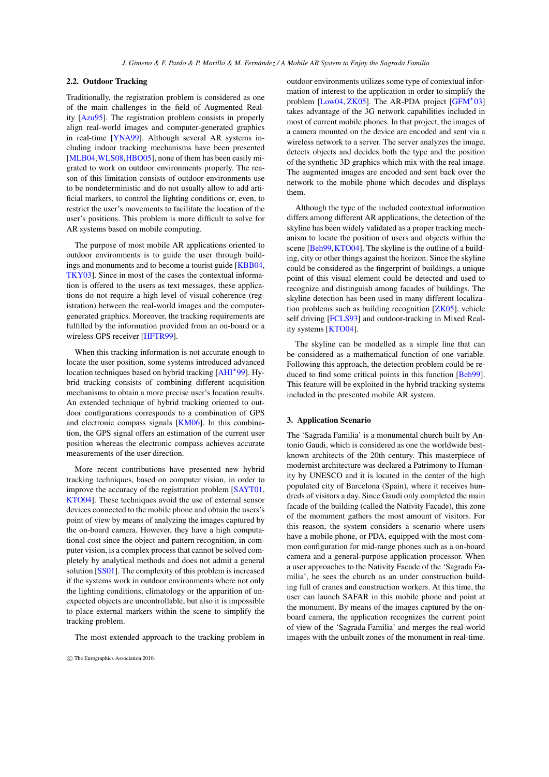## <span id="page-2-1"></span>2.2. Outdoor Tracking

Traditionally, the registration problem is considered as one of the main challenges in the field of Augmented Reality [\[Azu95\]](#page-7-0). The registration problem consists in properly align real-world images and computer-generated graphics in real-time [\[YNA99\]](#page-7-10). Although several AR systems including indoor tracking mechanisms have been presented [\[MLB04](#page-7-11), WLS08, [HBO05\]](#page-7-12), none of them has been easily migrated to work on outdoor environments properly. The reason of this limitation consists of outdoor environments use to be nondeterministic and do not usually allow to add artificial markers, to control the lighting conditions or, even, to restrict the user's movements to facilitate the location of the user's positions. This problem is more difficult to solve for AR systems based on mobile computing.

The purpose of most mobile AR applications oriented to outdoor environments is to guide the user through buildings and monuments and to become a tourist guide [\[KBB04,](#page-7-13) [TKY03\]](#page-7-14). Since in most of the cases the contextual information is offered to the users as text messages, these applications do not require a high level of visual coherence (registration) between the real-world images and the computergenerated graphics. Moreover, the tracking requirements are fulfilled by the information provided from an on-board or a wireless GPS receiver [\[HFTR99\]](#page-7-6).

When this tracking information is not accurate enough to locate the user position, some systems introduced advanced location techniques based on hybrid tracking [\[AHI](#page-7-15)<sup>∗</sup> 99]. Hybrid tracking consists of combining different acquisition mechanisms to obtain a more precise user's location results. An extended technique of hybrid tracking oriented to outdoor configurations corresponds to a combination of GPS and electronic compass signals [\[KM06\]](#page-7-9). In this combination, the GPS signal offers an estimation of the current user position whereas the electronic compass achieves accurate measurements of the user direction.

More recent contributions have presented new hybrid tracking techniques, based on computer vision, in order to improve the accuracy of the registration problem [\[SAYT01,](#page-7-16) [KTO04\]](#page-7-17). These techniques avoid the use of external sensor devices connected to the mobile phone and obtain the users's point of view by means of analyzing the images captured by the on-board camera. However, they have a high computational cost since the object and pattern recognition, in computer vision, is a complex process that cannot be solved completely by analytical methods and does not admit a general solution [\[SS01\]](#page-7-18). The complexity of this problem is increased if the systems work in outdoor environments where not only the lighting conditions, climatology or the apparition of unexpected objects are uncontrollable, but also it is impossible to place external markers within the scene to simplify the tracking problem.

The most extended approach to the tracking problem in

outdoor environments utilizes some type of contextual information of interest to the application in order to simplify the problem [\[Low04,](#page-7-19) [ZK05\]](#page-7-20). The AR-PDA project [\[GFM](#page-7-21)<sup>\*</sup>03] takes advantage of the 3G network capabilities included in most of current mobile phones. In that project, the images of a camera mounted on the device are encoded and sent via a wireless network to a server. The server analyzes the image, detects objects and decides both the type and the position of the synthetic 3D graphics which mix with the real image. The augmented images are encoded and sent back over the network to the mobile phone which decodes and displays them.

Although the type of the included contextual information differs among different AR applications, the detection of the skyline has been widely validated as a proper tracking mechanism to locate the position of users and objects within the scene [\[Beh99,](#page-7-22) [KTO04\]](#page-7-17). The skyline is the outline of a building, city or other things against the horizon. Since the skyline could be considered as the fingerprint of buildings, a unique point of this visual element could be detected and used to recognize and distinguish among facades of buildings. The skyline detection has been used in many different localization problems such as building recognition [\[ZK05\]](#page-7-20), vehicle self driving [\[FCLS93\]](#page-7-23) and outdoor-tracking in Mixed Reality systems [\[KTO04\]](#page-7-17).

The skyline can be modelled as a simple line that can be considered as a mathematical function of one variable. Following this approach, the detection problem could be reduced to find some critical points in this function [\[Beh99\]](#page-7-22). This feature will be exploited in the hybrid tracking systems included in the presented mobile AR system.

# <span id="page-2-0"></span>3. Application Scenario

The 'Sagrada Familia' is a monumental church built by Antonio Gaudi, which is considered as one the worldwide bestknown architects of the 20th century. This masterpiece of modernist architecture was declared a Patrimony to Humanity by UNESCO and it is located in the center of the high populated city of Barcelona (Spain), where it receives hundreds of visitors a day. Since Gaudi only completed the main facade of the building (called the Nativity Facade), this zone of the monument gathers the most amount of visitors. For this reason, the system considers a scenario where users have a mobile phone, or PDA, equipped with the most common configuration for mid-range phones such as a on-board camera and a general-purpose application processor. When a user approaches to the Nativity Facade of the 'Sagrada Familia', he sees the church as an under construction building full of cranes and construction workers. At this time, the user can launch SAFAR in this mobile phone and point at the monument. By means of the images captured by the onboard camera, the application recognizes the current point of view of the 'Sagrada Familia' and merges the real-world images with the unbuilt zones of the monument in real-time.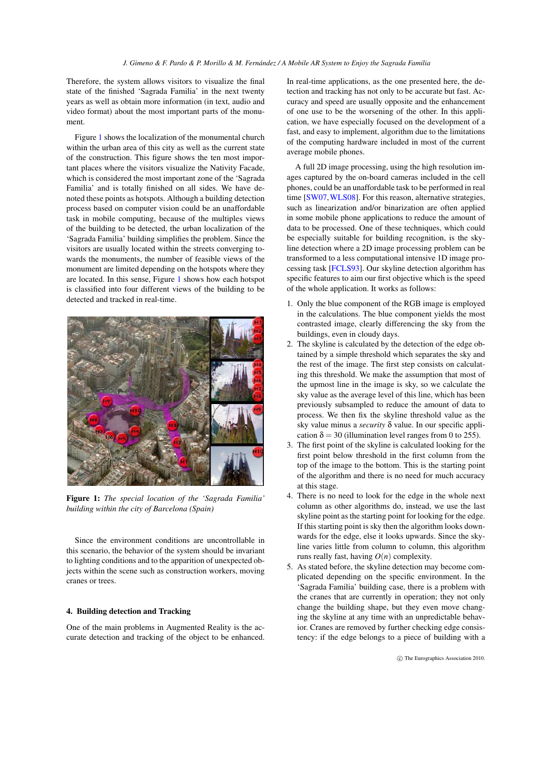<span id="page-3-2"></span>Therefore, the system allows visitors to visualize the final state of the finished 'Sagrada Familia' in the next twenty years as well as obtain more information (in text, audio and video format) about the most important parts of the monument.

Figure [1](#page-3-1) shows the localization of the monumental church within the urban area of this city as well as the current state of the construction. This figure shows the ten most important places where the visitors visualize the Nativity Facade, which is considered the most important zone of the 'Sagrada Familia' and is totally finished on all sides. We have denoted these points as hotspots. Although a building detection process based on computer vision could be an unaffordable task in mobile computing, because of the multiples views of the building to be detected, the urban localization of the 'Sagrada Familia' building simplifies the problem. Since the visitors are usually located within the streets converging towards the monuments, the number of feasible views of the monument are limited depending on the hotspots where they are located. In this sense, Figure [1](#page-3-1) shows how each hotspot is classified into four different views of the building to be detected and tracked in real-time.



Figure 1: *The special location of the 'Sagrada Familia' building within the city of Barcelona (Spain)*

<span id="page-3-1"></span>Since the environment conditions are uncontrollable in this scenario, the behavior of the system should be invariant to lighting conditions and to the apparition of unexpected objects within the scene such as construction workers, moving cranes or trees.

# <span id="page-3-0"></span>4. Building detection and Tracking

One of the main problems in Augmented Reality is the accurate detection and tracking of the object to be enhanced.

In real-time applications, as the one presented here, the detection and tracking has not only to be accurate but fast. Accuracy and speed are usually opposite and the enhancement of one use to be the worsening of the other. In this application, we have especially focused on the development of a fast, and easy to implement, algorithm due to the limitations of the computing hardware included in most of the current average mobile phones.

A full 2D image processing, using the high resolution images captured by the on-board cameras included in the cell phones, could be an unaffordable task to be performed in real time [\[SW07,](#page-7-3) [WLS08\]](#page-7-4). For this reason, alternative strategies, such as linearization and/or binarization are often applied in some mobile phone applications to reduce the amount of data to be processed. One of these techniques, which could be especially suitable for building recognition, is the skyline detection where a 2D image processing problem can be transformed to a less computational intensive 1D image processing task [\[FCLS93\]](#page-7-23). Our skyline detection algorithm has specific features to aim our first objective which is the speed of the whole application. It works as follows:

- 1. Only the blue component of the RGB image is employed in the calculations. The blue component yields the most contrasted image, clearly differencing the sky from the buildings, even in cloudy days.
- 2. The skyline is calculated by the detection of the edge obtained by a simple threshold which separates the sky and the rest of the image. The first step consists on calculating this threshold. We make the assumption that most of the upmost line in the image is sky, so we calculate the sky value as the average level of this line, which has been previously subsampled to reduce the amount of data to process. We then fix the skyline threshold value as the sky value minus a *security* δ value. In our specific application  $\delta = 30$  (illumination level ranges from 0 to 255).
- 3. The first point of the skyline is calculated looking for the first point below threshold in the first column from the top of the image to the bottom. This is the starting point of the algorithm and there is no need for much accuracy at this stage.
- 4. There is no need to look for the edge in the whole next column as other algorithms do, instead, we use the last skyline point as the starting point for looking for the edge. If this starting point is sky then the algorithm looks downwards for the edge, else it looks upwards. Since the skyline varies little from column to column, this algorithm runs really fast, having  $O(n)$  complexity.
- 5. As stated before, the skyline detection may become complicated depending on the specific environment. In the 'Sagrada Familia' building case, there is a problem with the cranes that are currently in operation; they not only change the building shape, but they even move changing the skyline at any time with an unpredictable behavior. Cranes are removed by further checking edge consistency: if the edge belongs to a piece of building with a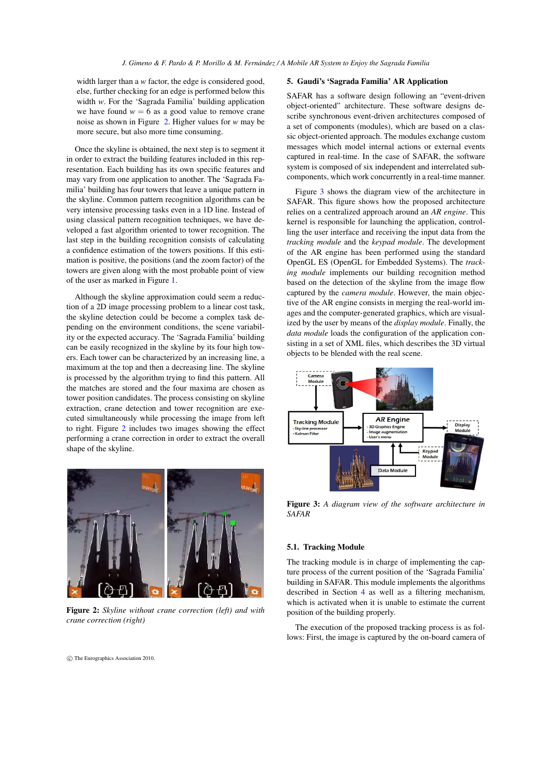width larger than a *w* factor, the edge is considered good, else, further checking for an edge is performed below this width *w*. For the 'Sagrada Familia' building application we have found  $w = 6$  as a good value to remove crane noise as shown in Figure [2.](#page-4-1) Higher values for *w* may be more secure, but also more time consuming.

Once the skyline is obtained, the next step is to segment it in order to extract the building features included in this representation. Each building has its own specific features and may vary from one application to another. The 'Sagrada Familia' building has four towers that leave a unique pattern in the skyline. Common pattern recognition algorithms can be very intensive processing tasks even in a 1D line. Instead of using classical pattern recognition techniques, we have developed a fast algorithm oriented to tower recognition. The last step in the building recognition consists of calculating a confidence estimation of the towers positions. If this estimation is positive, the positions (and the zoom factor) of the towers are given along with the most probable point of view of the user as marked in Figure [1.](#page-3-1)

Although the skyline approximation could seem a reduction of a 2D image processing problem to a linear cost task, the skyline detection could be become a complex task depending on the environment conditions, the scene variability or the expected accuracy. The 'Sagrada Familia' building can be easily recognized in the skyline by its four high towers. Each tower can be characterized by an increasing line, a maximum at the top and then a decreasing line. The skyline is processed by the algorithm trying to find this pattern. All the matches are stored and the four maxima are chosen as tower position candidates. The process consisting on skyline extraction, crane detection and tower recognition are executed simultaneously while processing the image from left to right. Figure [2](#page-4-1) includes two images showing the effect performing a crane correction in order to extract the overall shape of the skyline.



Figure 2: *Skyline without crane correction (left) and with crane correction (right)*

## <span id="page-4-0"></span>5. Gaudi's 'Sagrada Familia' AR Application

SAFAR has a software design following an "event-driven object-oriented" architecture. These software designs describe synchronous event-driven architectures composed of a set of components (modules), which are based on a classic object-oriented approach. The modules exchange custom messages which model internal actions or external events captured in real-time. In the case of SAFAR, the software system is composed of six independent and interrelated subcomponents, which work concurrently in a real-time manner.

Figure [3](#page-4-2) shows the diagram view of the architecture in SAFAR. This figure shows how the proposed architecture relies on a centralized approach around an *AR engine*. This kernel is responsible for launching the application, controlling the user interface and receiving the input data from the *tracking module* and the *keypad module*. The development of the AR engine has been performed using the standard OpenGL ES (OpenGL for Embedded Systems). The *tracking module* implements our building recognition method based on the detection of the skyline from the image flow captured by the *camera module*. However, the main objective of the AR engine consists in merging the real-world images and the computer-generated graphics, which are visualized by the user by means of the *display module*. Finally, the *data module* loads the configuration of the application consisting in a set of XML files, which describes the 3D virtual objects to be blended with the real scene.



<span id="page-4-2"></span>Figure 3: *A diagram view of the software architecture in SAFAR*

## 5.1. Tracking Module

The tracking module is in charge of implementing the capture process of the current position of the 'Sagrada Familia' building in SAFAR. This module implements the algorithms described in Section [4](#page-3-0) as well as a filtering mechanism, which is activated when it is unable to estimate the current position of the building properly.

The execution of the proposed tracking process is as follows: First, the image is captured by the on-board camera of

<span id="page-4-1"></span>c The Eurographics Association 2010.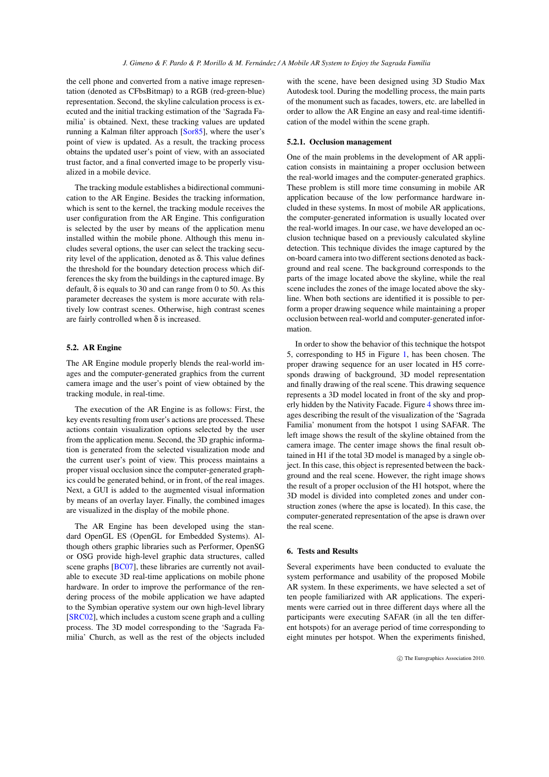<span id="page-5-1"></span>the cell phone and converted from a native image representation (denoted as CFbsBitmap) to a RGB (red-green-blue) representation. Second, the skyline calculation process is executed and the initial tracking estimation of the 'Sagrada Familia' is obtained. Next, these tracking values are updated running a Kalman filter approach [\[Sor85\]](#page-7-24), where the user's point of view is updated. As a result, the tracking process obtains the updated user's point of view, with an associated trust factor, and a final converted image to be properly visualized in a mobile device.

The tracking module establishes a bidirectional communication to the AR Engine. Besides the tracking information, which is sent to the kernel, the tracking module receives the user configuration from the AR Engine. This configuration is selected by the user by means of the application menu installed within the mobile phone. Although this menu includes several options, the user can select the tracking security level of the application, denoted as δ. This value defines the threshold for the boundary detection process which differences the sky from the buildings in the captured image. By default,  $\delta$  is equals to 30 and can range from 0 to 50. As this parameter decreases the system is more accurate with relatively low contrast scenes. Otherwise, high contrast scenes are fairly controlled when  $\delta$  is increased.

# 5.2. AR Engine

The AR Engine module properly blends the real-world images and the computer-generated graphics from the current camera image and the user's point of view obtained by the tracking module, in real-time.

The execution of the AR Engine is as follows: First, the key events resulting from user's actions are processed. These actions contain visualization options selected by the user from the application menu. Second, the 3D graphic information is generated from the selected visualization mode and the current user's point of view. This process maintains a proper visual occlusion since the computer-generated graphics could be generated behind, or in front, of the real images. Next, a GUI is added to the augmented visual information by means of an overlay layer. Finally, the combined images are visualized in the display of the mobile phone.

The AR Engine has been developed using the standard OpenGL ES (OpenGL for Embedded Systems). Although others graphic libraries such as Performer, OpenSG or OSG provide high-level graphic data structures, called scene graphs [\[BC07\]](#page-7-25), these libraries are currently not available to execute 3D real-time applications on mobile phone hardware. In order to improve the performance of the rendering process of the mobile application we have adapted to the Symbian operative system our own high-level library [\[SRC02\]](#page-7-26), which includes a custom scene graph and a culling process. The 3D model corresponding to the 'Sagrada Familia' Church, as well as the rest of the objects included

with the scene, have been designed using 3D Studio Max Autodesk tool. During the modelling process, the main parts of the monument such as facades, towers, etc. are labelled in order to allow the AR Engine an easy and real-time identification of the model within the scene graph.

#### 5.2.1. Occlusion management

One of the main problems in the development of AR application consists in maintaining a proper occlusion between the real-world images and the computer-generated graphics. These problem is still more time consuming in mobile AR application because of the low performance hardware included in these systems. In most of mobile AR applications, the computer-generated information is usually located over the real-world images. In our case, we have developed an occlusion technique based on a previously calculated skyline detection. This technique divides the image captured by the on-board camera into two different sections denoted as background and real scene. The background corresponds to the parts of the image located above the skyline, while the real scene includes the zones of the image located above the skyline. When both sections are identified it is possible to perform a proper drawing sequence while maintaining a proper occlusion between real-world and computer-generated information.

In order to show the behavior of this technique the hotspot 5, corresponding to H5 in Figure [1,](#page-3-1) has been chosen. The proper drawing sequence for an user located in H5 corresponds drawing of background, 3D model representation and finally drawing of the real scene. This drawing sequence represents a 3D model located in front of the sky and properly hidden by the Nativity Facade. Figure [4](#page-6-1) shows three images describing the result of the visualization of the 'Sagrada Familia' monument from the hotspot 1 using SAFAR. The left image shows the result of the skyline obtained from the camera image. The center image shows the final result obtained in H1 if the total 3D model is managed by a single object. In this case, this object is represented between the background and the real scene. However, the right image shows the result of a proper occlusion of the H1 hotspot, where the 3D model is divided into completed zones and under construction zones (where the apse is located). In this case, the computer-generated representation of the apse is drawn over the real scene.

# <span id="page-5-0"></span>6. Tests and Results

Several experiments have been conducted to evaluate the system performance and usability of the proposed Mobile AR system. In these experiments, we have selected a set of ten people familiarized with AR applications. The experiments were carried out in three different days where all the participants were executing SAFAR (in all the ten different hotspots) for an average period of time corresponding to eight minutes per hotspot. When the experiments finished,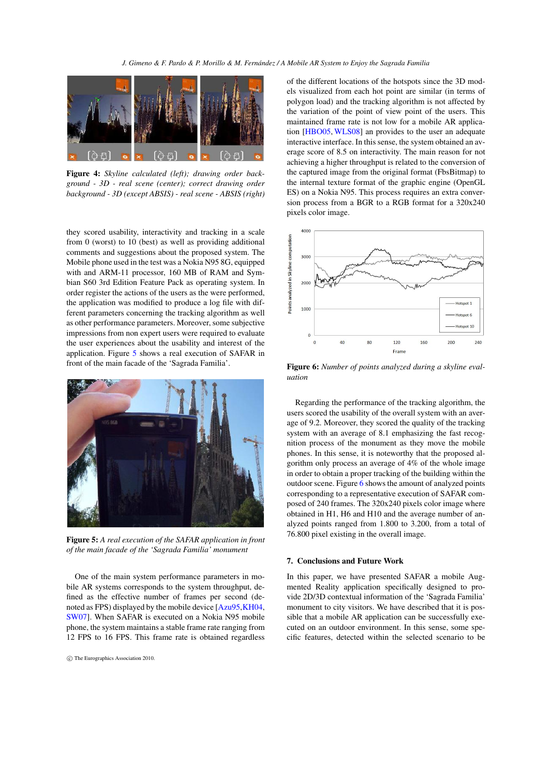<span id="page-6-4"></span>

<span id="page-6-1"></span>Figure 4: *Skyline calculated (left); drawing order background - 3D - real scene (center); correct drawing order background - 3D (except ABSIS) - real scene - ABSIS (right)*

they scored usability, interactivity and tracking in a scale from 0 (worst) to 10 (best) as well as providing additional comments and suggestions about the proposed system. The Mobile phone used in the test was a Nokia N95 8G, equipped with and ARM-11 processor, 160 MB of RAM and Symbian S60 3rd Edition Feature Pack as operating system. In order register the actions of the users as the were performed, the application was modified to produce a log file with different parameters concerning the tracking algorithm as well as other performance parameters. Moreover, some subjective impressions from non expert users were required to evaluate the user experiences about the usability and interest of the application. Figure [5](#page-6-2) shows a real execution of SAFAR in front of the main facade of the 'Sagrada Familia'.



Figure 5: *A real execution of the SAFAR application in front of the main facade of the 'Sagrada Familia' monument*

<span id="page-6-2"></span>One of the main system performance parameters in mobile AR systems corresponds to the system throughput, defined as the effective number of frames per second (denoted as FPS) displayed by the mobile device [\[Azu95](#page-7-0)[,KH04,](#page-7-7) [SW07\]](#page-7-3). When SAFAR is executed on a Nokia N95 mobile phone, the system maintains a stable frame rate ranging from 12 FPS to 16 FPS. This frame rate is obtained regardless of the different locations of the hotspots since the 3D models visualized from each hot point are similar (in terms of polygon load) and the tracking algorithm is not affected by the variation of the point of view point of the users. This maintained frame rate is not low for a mobile AR application [\[HBO05,](#page-7-12) [WLS08\]](#page-7-4) an provides to the user an adequate interactive interface. In this sense, the system obtained an average score of 8.5 on interactivity. The main reason for not achieving a higher throughput is related to the conversion of the captured image from the original format (FbsBitmap) to the internal texture format of the graphic engine (OpenGL ES) on a Nokia N95. This process requires an extra conversion process from a BGR to a RGB format for a 320x240 pixels color image.



<span id="page-6-3"></span>Figure 6: *Number of points analyzed during a skyline evaluation*

Regarding the performance of the tracking algorithm, the users scored the usability of the overall system with an average of 9.2. Moreover, they scored the quality of the tracking system with an average of 8.1 emphasizing the fast recognition process of the monument as they move the mobile phones. In this sense, it is noteworthy that the proposed algorithm only process an average of 4% of the whole image in order to obtain a proper tracking of the building within the outdoor scene. Figure [6](#page-6-3) shows the amount of analyzed points corresponding to a representative execution of SAFAR composed of 240 frames. The 320x240 pixels color image where obtained in H1, H6 and H10 and the average number of analyzed points ranged from 1.800 to 3.200, from a total of 76.800 pixel existing in the overall image.

#### <span id="page-6-0"></span>7. Conclusions and Future Work

In this paper, we have presented SAFAR a mobile Augmented Reality application specifically designed to provide 2D/3D contextual information of the 'Sagrada Familia' monument to city visitors. We have described that it is possible that a mobile AR application can be successfully executed on an outdoor environment. In this sense, some specific features, detected within the selected scenario to be